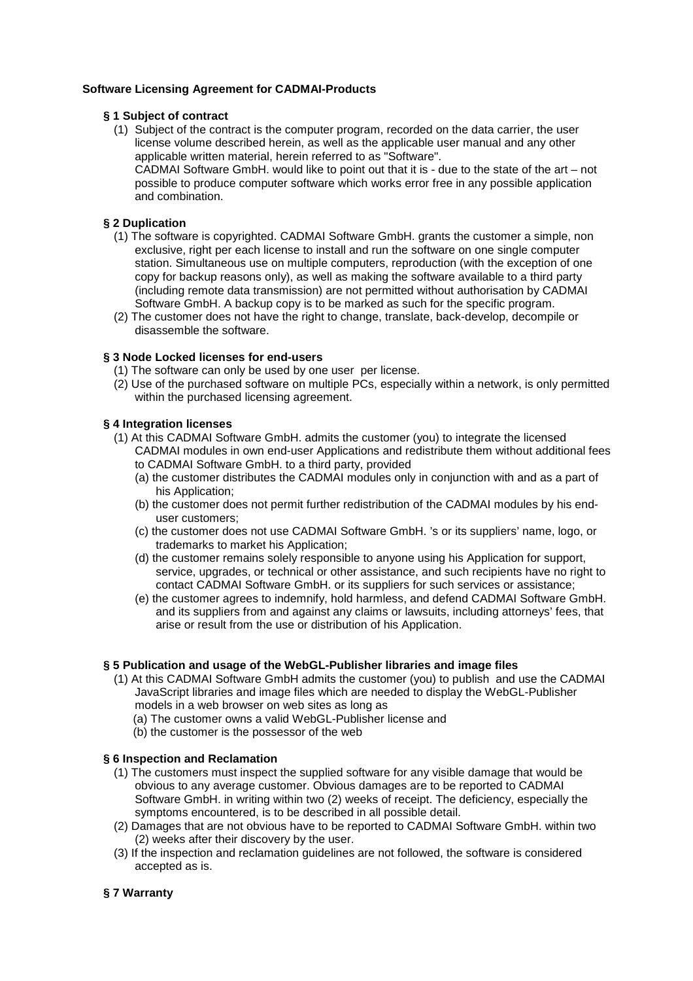# **Software Licensing Agreement for CADMAI-Products**

#### **§ 1 Subject of contract**

(1) Subject of the contract is the computer program, recorded on the data carrier, the user license volume described herein, as well as the applicable user manual and any other applicable written material, herein referred to as "Software". CADMAI Software GmbH. would like to point out that it is - due to the state of the art – not possible to produce computer software which works error free in any possible application and combination.

## **§ 2 Duplication**

- (1) The software is copyrighted. CADMAI Software GmbH. grants the customer a simple, non exclusive, right per each license to install and run the software on one single computer station. Simultaneous use on multiple computers, reproduction (with the exception of one copy for backup reasons only), as well as making the software available to a third party (including remote data transmission) are not permitted without authorisation by CADMAI Software GmbH. A backup copy is to be marked as such for the specific program.
- (2) The customer does not have the right to change, translate, back-develop, decompile or disassemble the software.

### **§ 3 Node Locked licenses for end-users**

- (1) The software can only be used by one user per license.
- (2) Use of the purchased software on multiple PCs, especially within a network, is only permitted within the purchased licensing agreement.

#### **§ 4 Integration licenses**

- (1) At this CADMAI Software GmbH. admits the customer (you) to integrate the licensed CADMAI modules in own end-user Applications and redistribute them without additional fees to CADMAI Software GmbH. to a third party, provided
	- (a) the customer distributes the CADMAI modules only in conjunction with and as a part of his Application;
	- (b) the customer does not permit further redistribution of the CADMAI modules by his enduser customers;
	- (c) the customer does not use CADMAI Software GmbH. 's or its suppliers' name, logo, or trademarks to market his Application;
	- (d) the customer remains solely responsible to anyone using his Application for support, service, upgrades, or technical or other assistance, and such recipients have no right to contact CADMAI Software GmbH. or its suppliers for such services or assistance;
	- (e) the customer agrees to indemnify, hold harmless, and defend CADMAI Software GmbH. and its suppliers from and against any claims or lawsuits, including attorneys' fees, that arise or result from the use or distribution of his Application.

#### **§ 5 Publication and usage of the WebGL-Publisher libraries and image files**

- (1) At this CADMAI Software GmbH admits the customer (you) to publish and use the CADMAI JavaScript libraries and image files which are needed to display the WebGL-Publisher models in a web browser on web sites as long as
	- (a) The customer owns a valid WebGL-Publisher license and
	- (b) the customer is the possessor of the web

# **§ 6 Inspection and Reclamation**

- (1) The customers must inspect the supplied software for any visible damage that would be obvious to any average customer. Obvious damages are to be reported to CADMAI Software GmbH. in writing within two (2) weeks of receipt. The deficiency, especially the symptoms encountered, is to be described in all possible detail.
- (2) Damages that are not obvious have to be reported to CADMAI Software GmbH. within two (2) weeks after their discovery by the user.
- (3) If the inspection and reclamation guidelines are not followed, the software is considered accepted as is.

# **§ 7 Warranty**